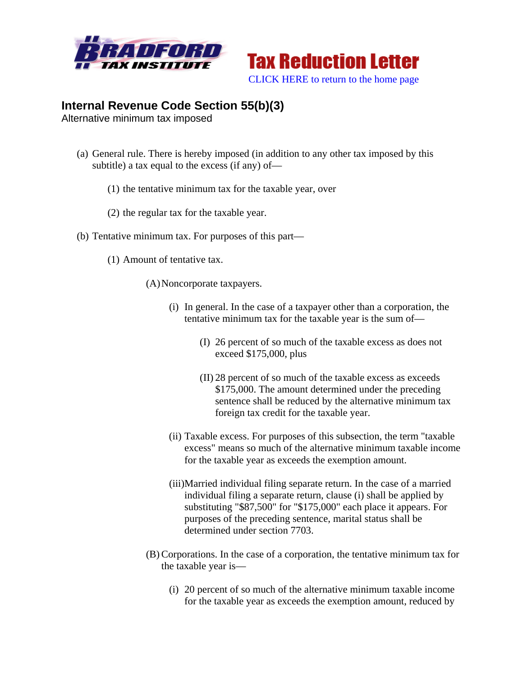



## **Internal Revenue Code Section 55(b)(3)**

Alternative minimum tax imposed

- (a) General rule. There is hereby imposed (in addition to any other tax imposed by this subtitle) a tax equal to the excess (if any) of—
	- (1) the tentative minimum tax for the taxable year, over
	- (2) the regular tax for the taxable year.
- (b) Tentative minimum tax. For purposes of this part—
	- (1) Amount of tentative tax.

(A)Noncorporate taxpayers.

- (i) In general. In the case of a taxpayer other than a corporation, the tentative minimum tax for the taxable year is the sum of—
	- (I) 26 percent of so much of the taxable excess as does not exceed \$175,000, plus
	- (II) 28 percent of so much of the taxable excess as exceeds \$175,000. The amount determined under the preceding sentence shall be reduced by the alternative minimum tax foreign tax credit for the taxable year.
- (ii) Taxable excess. For purposes of this subsection, the term "taxable excess" means so much of the alternative minimum taxable income for the taxable year as exceeds the exemption amount.
- (iii)Married individual filing separate return. In the case of a married individual filing a separate return, clause (i) shall be applied by substituting "\$87,500" for "\$175,000" each place it appears. For purposes of the preceding sentence, marital status shall be determined under section 7703.
- (B) Corporations. In the case of a corporation, the tentative minimum tax for the taxable year is—
	- (i) 20 percent of so much of the alternative minimum taxable income for the taxable year as exceeds the exemption amount, reduced by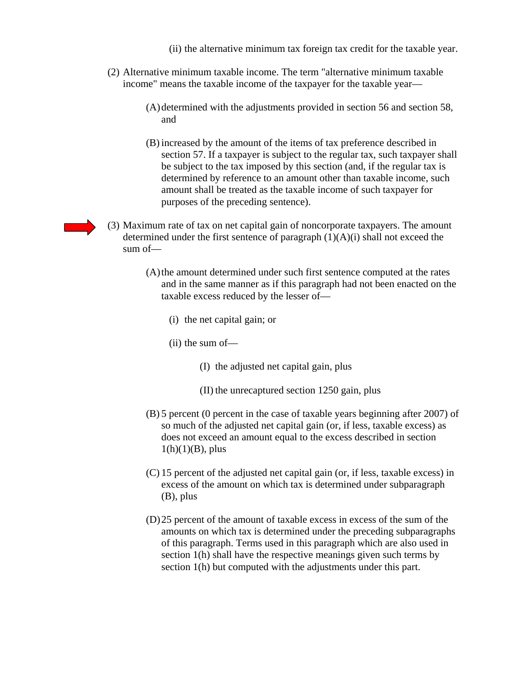- (ii) the alternative minimum tax foreign tax credit for the taxable year.
- (2) Alternative minimum taxable income. The term "alternative minimum taxable income" means the taxable income of the taxpayer for the taxable year—
	- (A)determined with the adjustments provided in section 56 and section 58, and
	- (B) increased by the amount of the items of tax preference described in section 57. If a taxpayer is subject to the regular tax, such taxpayer shall be subject to the tax imposed by this section (and, if the regular tax is determined by reference to an amount other than taxable income, such amount shall be treated as the taxable income of such taxpayer for purposes of the preceding sentence).

(3) Maximum rate of tax on net capital gain of noncorporate taxpayers. The amount determined under the first sentence of paragraph  $(1)(A)(i)$  shall not exceed the sum of—

- (A)the amount determined under such first sentence computed at the rates and in the same manner as if this paragraph had not been enacted on the taxable excess reduced by the lesser of—
	- (i) the net capital gain; or
	- (ii) the sum of—
		- (I) the adjusted net capital gain, plus
		- (II) the unrecaptured section 1250 gain, plus
- (B) 5 percent (0 percent in the case of taxable years beginning after 2007) of so much of the adjusted net capital gain (or, if less, taxable excess) as does not exceed an amount equal to the excess described in section  $1(h)(1)(B)$ , plus
- (C) 15 percent of the adjusted net capital gain (or, if less, taxable excess) in excess of the amount on which tax is determined under subparagraph (B), plus
- (D)25 percent of the amount of taxable excess in excess of the sum of the amounts on which tax is determined under the preceding subparagraphs of this paragraph. Terms used in this paragraph which are also used in section 1(h) shall have the respective meanings given such terms by section 1(h) but computed with the adjustments under this part.